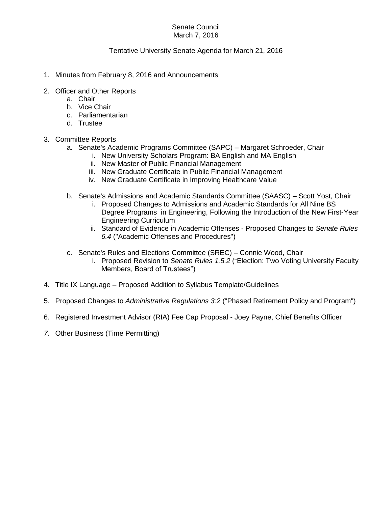## Senate Council March 7, 2016

## Tentative University Senate Agenda for March 21, 2016

- 1. Minutes from February 8, 2016 and Announcements
- 2. Officer and Other Reports
	- a. Chair
	- b. Vice Chair
	- c. Parliamentarian
	- d. Trustee

## 3. Committee Reports

- a. Senate's Academic Programs Committee (SAPC) Margaret Schroeder, Chair
	- i. New University Scholars Program: BA English and MA English
		- ii. New Master of Public Financial Management
	- iii. New Graduate Certificate in Public Financial Management
	- iv. New Graduate Certificate in Improving Healthcare Value
- b. Senate's Admissions and Academic Standards Committee (SAASC) Scott Yost, Chair
	- i. Proposed Changes to Admissions and Academic Standards for All Nine BS Degree Programs in Engineering, Following the Introduction of the New First-Year Engineering Curriculum
	- ii. Standard of Evidence in Academic Offenses Proposed Changes to *Senate Rules 6.4* ("Academic Offenses and Procedures")
- c. Senate's Rules and Elections Committee (SREC) Connie Wood, Chair
	- i. Proposed Revision to *Senate Rules 1.5.2* ("Election: Two Voting University Faculty Members, Board of Trustees")
- 4. Title IX Language Proposed Addition to Syllabus Template/Guidelines
- 5. Proposed Changes to *Administrative Regulations 3:2* ("Phased Retirement Policy and Program")
- 6. Registered Investment Advisor (RIA) Fee Cap Proposal Joey Payne, Chief Benefits Officer
- *7.* Other Business (Time Permitting)